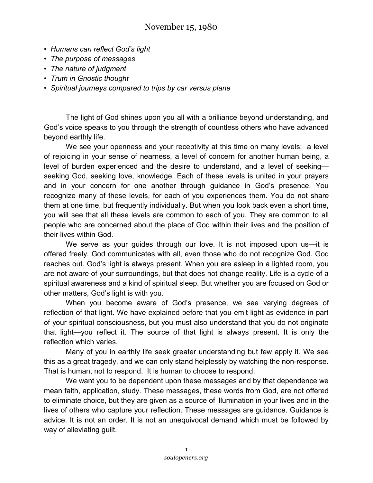## November 15, 1980

- *Humans can reflect God's light*
- *The purpose of messages*
- *The nature of judgment*
- *Truth in Gnostic thought*
- *Spiritual journeys compared to trips by car versus plane*

The light of God shines upon you all with a brilliance beyond understanding, and God's voice speaks to you through the strength of countless others who have advanced beyond earthly life.

We see your openness and your receptivity at this time on many levels: a level of rejoicing in your sense of nearness, a level of concern for another human being, a level of burden experienced and the desire to understand, and a level of seeking seeking God, seeking love, knowledge. Each of these levels is united in your prayers and in your concern for one another through guidance in God's presence. You recognize many of these levels, for each of you experiences them. You do not share them at one time, but frequently individually. But when you look back even a short time, you will see that all these levels are common to each of you. They are common to all people who are concerned about the place of God within their lives and the position of their lives within God.

We serve as your guides through our love. It is not imposed upon us—it is offered freely. God communicates with all, even those who do not recognize God. God reaches out. God's light is always present. When you are asleep in a lighted room, you are not aware of your surroundings, but that does not change reality. Life is a cycle of a spiritual awareness and a kind of spiritual sleep. But whether you are focused on God or other matters, God's light is with you.

When you become aware of God's presence, we see varying degrees of reflection of that light. We have explained before that you emit light as evidence in part of your spiritual consciousness, but you must also understand that you do not originate that light—you reflect it. The source of that light is always present. It is only the reflection which varies.

Many of you in earthly life seek greater understanding but few apply it. We see this as a great tragedy, and we can only stand helplessly by watching the non-response. That is human, not to respond. It is human to choose to respond.

We want you to be dependent upon these messages and by that dependence we mean faith, application, study. These messages, these words from God, are not offered to eliminate choice, but they are given as a source of illumination in your lives and in the lives of others who capture your reflection. These messages are guidance. Guidance is advice. It is not an order. It is not an unequivocal demand which must be followed by way of alleviating guilt.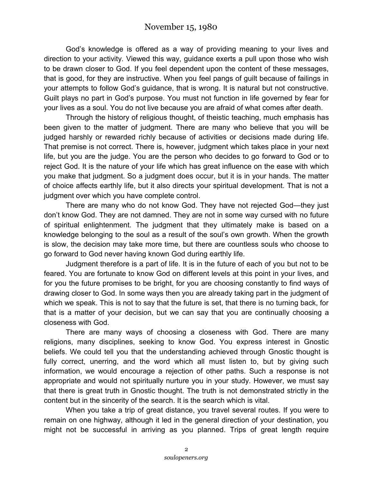## November 15, 1980

God's knowledge is offered as a way of providing meaning to your lives and direction to your activity. Viewed this way, guidance exerts a pull upon those who wish to be drawn closer to God. If you feel dependent upon the content of these messages, that is good, for they are instructive. When you feel pangs of guilt because of failings in your attempts to follow God's guidance, that is wrong. It is natural but not constructive. Guilt plays no part in God's purpose. You must not function in life governed by fear for your lives as a soul. You do not live because you are afraid of what comes after death.

Through the history of religious thought, of theistic teaching, much emphasis has been given to the matter of judgment. There are many who believe that you will be judged harshly or rewarded richly because of activities or decisions made during life. That premise is not correct. There is, however, judgment which takes place in your next life, but you are the judge. You are the person who decides to go forward to God or to reject God. It is the nature of your life which has great influence on the ease with which you make that judgment. So a judgment does occur, but it is in your hands. The matter of choice affects earthly life, but it also directs your spiritual development. That is not a judgment over which you have complete control.

There are many who do not know God. They have not rejected God—they just don't know God. They are not damned. They are not in some way cursed with no future of spiritual enlightenment. The judgment that they ultimately make is based on a knowledge belonging to the soul as a result of the soul's own growth. When the growth is slow, the decision may take more time, but there are countless souls who choose to go forward to God never having known God during earthly life.

Judgment therefore is a part of life. It is in the future of each of you but not to be feared. You are fortunate to know God on different levels at this point in your lives, and for you the future promises to be bright, for you are choosing constantly to find ways of drawing closer to God. In some ways then you are already taking part in the judgment of which we speak. This is not to say that the future is set, that there is no turning back, for that is a matter of your decision, but we can say that you are continually choosing a closeness with God.

There are many ways of choosing a closeness with God. There are many religions, many disciplines, seeking to know God. You express interest in Gnostic beliefs. We could tell you that the understanding achieved through Gnostic thought is fully correct, unerring, and the word which all must listen to, but by giving such information, we would encourage a rejection of other paths. Such a response is not appropriate and would not spiritually nurture you in your study. However, we must say that there is great truth in Gnostic thought. The truth is not demonstrated strictly in the content but in the sincerity of the search. It is the search which is vital.

When you take a trip of great distance, you travel several routes. If you were to remain on one highway, although it led in the general direction of your destination, you might not be successful in arriving as you planned. Trips of great length require